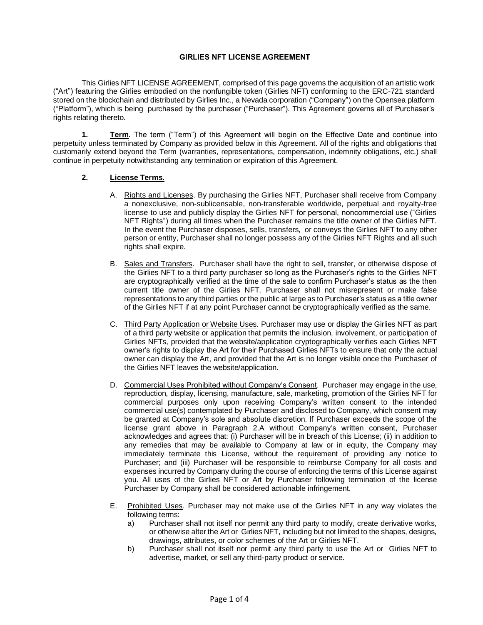### **GIRLIES NFT LICENSE AGREEMENT**

This Girlies NFT LICENSE AGREEMENT, comprised of this page governs the acquisition of an artistic work ("Art") featuring the Girlies embodied on the nonfungible token (Girlies NFT) conforming to the ERC-721 standard stored on the blockchain and distributed by Girlies Inc., a Nevada corporation ("Company") on the Opensea platform ("Platform"), which is being purchased by the purchaser ("Purchaser"). This Agreement governs all of Purchaser's rights relating thereto.

**1. Term**. The term ("Term") of this Agreement will begin on the Effective Date and continue into perpetuity unless terminated by Company as provided below in this Agreement. All of the rights and obligations that customarily extend beyond the Term (warranties, representations, compensation, indemnity obligations, etc.) shall continue in perpetuity notwithstanding any termination or expiration of this Agreement.

## **2. License Terms.**

- A. Rights and Licenses. By purchasing the Girlies NFT, Purchaser shall receive from Company a nonexclusive, non-sublicensable, non-transferable worldwide, perpetual and royalty-free license to use and publicly display the Girlies NFT for personal, noncommercial use ("Girlies NFT Rights") during all times when the Purchaser remains the title owner of the Girlies NFT. In the event the Purchaser disposes, sells, transfers, or conveys the Girlies NFT to any other person or entity, Purchaser shall no longer possess any of the Girlies NFT Rights and all such rights shall expire.
- B. Sales and Transfers. Purchaser shall have the right to sell, transfer, or otherwise dispose of the Girlies NFT to a third party purchaser so long as the Purchaser's rights to the Girlies NFT are cryptographically verified at the time of the sale to confirm Purchaser's status as the then current title owner of the Girlies NFT. Purchaser shall not misrepresent or make false representations to any third parties or the public at large as to Purchaser's status as a title owner of the Girlies NFT if at any point Purchaser cannot be cryptographically verified as the same.
- C. Third Party Application or Website Uses. Purchaser may use or display the Girlies NFT as part of a third party website or application that permits the inclusion, involvement, or participation of Girlies NFTs, provided that the website/application cryptographically verifies each Girlies NFT owner's rights to display the Art for their Purchased Girlies NFTs to ensure that only the actual owner can display the Art, and provided that the Art is no longer visible once the Purchaser of the Girlies NFT leaves the website/application.
- D. Commercial Uses Prohibited without Company's Consent. Purchaser may engage in the use, reproduction, display, licensing, manufacture, sale, marketing, promotion of the Girlies NFT for commercial purposes only upon receiving Company's written consent to the intended commercial use(s) contemplated by Purchaser and disclosed to Company, which consent may be granted at Company's sole and absolute discretion. If Purchaser exceeds the scope of the license grant above in Paragraph 2.A without Company's written consent, Purchaser acknowledges and agrees that: (i) Purchaser will be in breach of this License; (ii) in addition to any remedies that may be available to Company at law or in equity, the Company may immediately terminate this License, without the requirement of providing any notice to Purchaser; and (iii) Purchaser will be responsible to reimburse Company for all costs and expenses incurred by Company during the course of enforcing the terms of this License against you. All uses of the Girlies NFT or Art by Purchaser following termination of the license Purchaser by Company shall be considered actionable infringement.
- E. Prohibited Uses. Purchaser may not make use of the Girlies NFT in any way violates the following terms:
	- a) Purchaser shall not itself nor permit any third party to modify, create derivative works, or otherwise alter the Art or Girlies NFT, including but not limited to the shapes, designs, drawings, attributes, or color schemes of the Art or Girlies NFT.
	- b) Purchaser shall not itself nor permit any third party to use the Art or Girlies NFT to advertise, market, or sell any third-party product or service.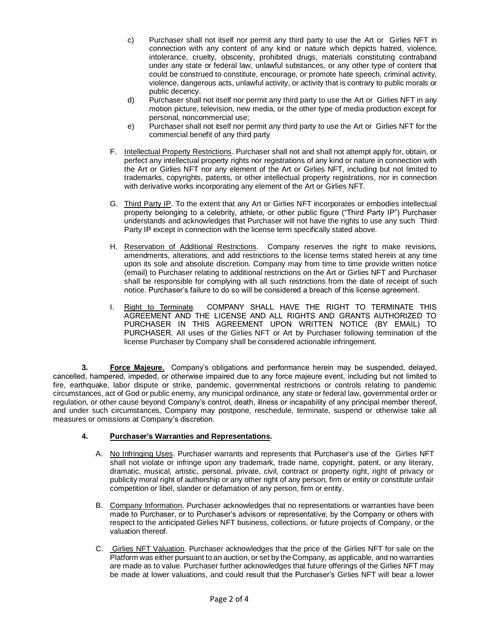- c) Purchaser shall not itself nor permit any third party to use the Art or Girlies NFT in connection with any content of any kind or nature which depicts hatred, violence, intolerance, cruelty, obscenity, prohibited drugs, materials constituting contraband under any state or federal law, unlawful substances, or any other type of content that could be construed to constitute, encourage, or promote hate speech, criminal activity, violence, dangerous acts, unlawful activity, or activity that is contrary to public morals or public decency.
- d) Purchaser shall not itself nor permit any third party to use the Art or Girlies NFT in any motion picture, television, new media, or the other type of media production except for personal, noncommercial use;
- e) Purchaser shall not itself nor permit any third party to use the Art or Girlies NFT for the commercial benefit of any third party
- F. Intellectual Property Restrictions. Purchaser shall not and shall not attempt apply for, obtain, or perfect any intellectual property rights nor registrations of any kind or nature in connection with the Art or Girlies NFT nor any element of the Art or Girlies NFT, including but not limited to trademarks, copyrights, patents, or other intellectual property registrations, nor in connection with derivative works incorporating any element of the Art or Girlies NFT.
- G. Third Party IP. To the extent that any Art or Girlies NFT incorporates or embodies intellectual property belonging to a celebrity, athlete, or other public figure ("Third Party IP") Purchaser understands and acknowledges that Purchaser will not have the rights to use any such Third Party IP except in connection with the license term specifically stated above.
- H. Reservation of Additional Restrictions. Company reserves the right to make revisions, amendments, alterations, and add restrictions to the license terms stated herein at any time upon its sole and absolute discretion. Company may from time to time provide written notice (email) to Purchaser relating to additional restrictions on the Art or Girlies NFT and Purchaser shall be responsible for complying with all such restrictions from the date of receipt of such notice. Purchaser's failure to do so will be considered a breach of this license agreement.
- I. Right to Terminate*.* COMPANY SHALL HAVE THE RIGHT TO TERMINATE THIS AGREEMENT AND THE LICENSE AND ALL RIGHTS AND GRANTS AUTHORIZED TO PURCHASER IN THIS AGREEMENT UPON WRITTEN NOTICE (BY EMAIL) TO PURCHASER. All uses of the Girlies NFT or Art by Purchaser following termination of the license Purchaser by Company shall be considered actionable infringement.

**3. Force Majeure.** Company's obligations and performance herein may be suspended, delayed, cancelled, hampered, impeded, or otherwise impaired due to any force majeure event, including but not limited to fire, earthquake, labor dispute or strike, pandemic, governmental restrictions or controls relating to pandemic circumstances, act of God or public enemy, any municipal ordinance, any state or federal law, governmental order or regulation, or other cause beyond Company's control, death, illness or incapability of any principal member thereof, and under such circumstances, Company may postpone, reschedule, terminate, suspend or otherwise take all measures or omissions at Company's discretion.

# **4. Purchaser's Warranties and Representations.**

- A. No Infringing Uses. Purchaser warrants and represents that Purchaser's use of the Girlies NFT shall not violate or infringe upon any trademark, trade name, copyright, patent, or any literary, dramatic, musical, artistic, personal, private, civil, contract or property right, right of privacy or publicity moral right of authorship or any other right of any person, firm or entity or constitute unfair competition or libel, slander or defamation of any person, firm or entity.
- B. Company Information. Purchaser acknowledges that no representations or warranties have been made to Purchaser, or to Purchaser's advisors or representative, by the Company or others with respect to the anticipated Girlies NFT business, collections, or future projects of Company, or the valuation thereof.
- C. Girlies NFT Valuation. Purchaser acknowledges that the price of the Girlies NFT for sale on the Platform was either pursuant to an auction, or set by the Company, as applicable, and no warranties are made as to value. Purchaser further acknowledges that future offerings of the Girlies NFT may be made at lower valuations, and could result that the Purchaser's Girlies NFT will bear a lower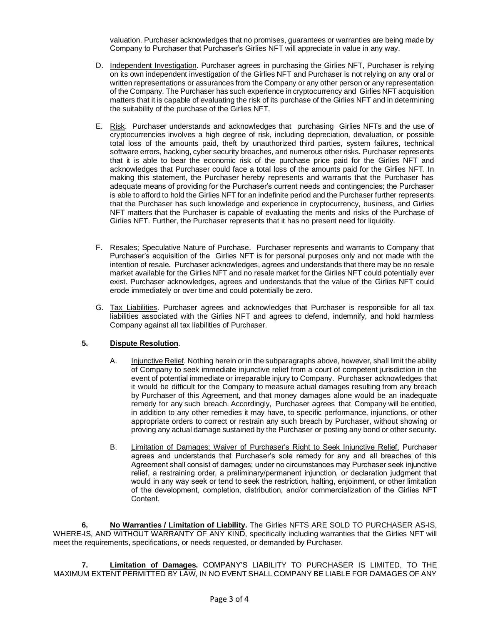valuation. Purchaser acknowledges that no promises, guarantees or warranties are being made by Company to Purchaser that Purchaser's Girlies NFT will appreciate in value in any way.

- D. Independent Investigation. Purchaser agrees in purchasing the Girlies NFT, Purchaser is relying on its own independent investigation of the Girlies NFT and Purchaser is not relying on any oral or written representations or assurances from the Company or any other person or any representation of the Company. The Purchaser has such experience in cryptocurrency and Girlies NFT acquisition matters that it is capable of evaluating the risk of its purchase of the Girlies NFT and in determining the suitability of the purchase of the Girlies NFT.
- E. Risk. Purchaser understands and acknowledges that purchasing Girlies NFTs and the use of cryptocurrencies involves a high degree of risk, including depreciation, devaluation, or possible total loss of the amounts paid, theft by unauthorized third parties, system failures, technical software errors, hacking, cyber security breaches, and numerous other risks. Purchaser represents that it is able to bear the economic risk of the purchase price paid for the Girlies NFT and acknowledges that Purchaser could face a total loss of the amounts paid for the Girlies NFT. In making this statement, the Purchaser hereby represents and warrants that the Purchaser has adequate means of providing for the Purchaser's current needs and contingencies; the Purchaser is able to afford to hold the Girlies NFT for an indefinite period and the Purchaser further represents that the Purchaser has such knowledge and experience in cryptocurrency, business, and Girlies NFT matters that the Purchaser is capable of evaluating the merits and risks of the Purchase of Girlies NFT. Further, the Purchaser represents that it has no present need for liquidity.
- F. Resales; Speculative Nature of Purchase. Purchaser represents and warrants to Company that Purchaser's acquisition of the Girlies NFT is for personal purposes only and not made with the intention of resale. Purchaser acknowledges, agrees and understands that there may be no resale market available for the Girlies NFT and no resale market for the Girlies NFT could potentially ever exist. Purchaser acknowledges, agrees and understands that the value of the Girlies NFT could erode immediately or over time and could potentially be zero.
- G. Tax Liabilities. Purchaser agrees and acknowledges that Purchaser is responsible for all tax liabilities associated with the Girlies NFT and agrees to defend, indemnify, and hold harmless Company against all tax liabilities of Purchaser.

## **5. Dispute Resolution**.

- A. Injunctive Relief. Nothing herein or in the subparagraphs above, however, shall limit the ability of Company to seek immediate injunctive relief from a court of competent jurisdiction in the event of potential immediate or irreparable injury to Company. Purchaser acknowledges that it would be difficult for the Company to measure actual damages resulting from any breach by Purchaser of this Agreement, and that money damages alone would be an inadequate remedy for any such breach. Accordingly, Purchaser agrees that Company will be entitled, in addition to any other remedies it may have, to specific performance, injunctions, or other appropriate orders to correct or restrain any such breach by Purchaser, without showing or proving any actual damage sustained by the Purchaser or posting any bond or other security.
- B. Limitation of Damages; Waiver of Purchaser's Right to Seek Injunctive Relief. Purchaser agrees and understands that Purchaser's sole remedy for any and all breaches of this Agreement shall consist of damages; under no circumstances may Purchaser seek injunctive relief, a restraining order, a preliminary/permanent injunction, or declaration judgment that would in any way seek or tend to seek the restriction, halting, enjoinment, or other limitation of the development, completion, distribution, and/or commercialization of the Girlies NFT Content.

**6. No Warranties / Limitation of Liability.** The Girlies NFTS ARE SOLD TO PURCHASER AS-IS, WHERE-IS, AND WITHOUT WARRANTY OF ANY KIND, specifically including warranties that the Girlies NFT will meet the requirements, specifications, or needs requested, or demanded by Purchaser.

**7. Limitation of Damages.** COMPANY'S LIABILITY TO PURCHASER IS LIMITED*.* TO THE MAXIMUM EXTENT PERMITTED BY LAW, IN NO EVENT SHALL COMPANY BE LIABLE FOR DAMAGES OF ANY